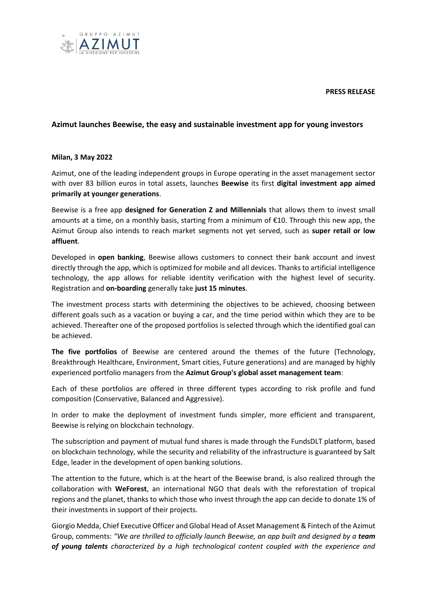**PRESS RELEASE**



## **Azimut launches Beewise, the easy and sustainable investment app for young investors**

## **Milan, 3 May 2022**

Azimut, one of the leading independent groups in Europe operating in the asset management sector with over 83 billion euros in total assets, launches **Beewise** its first **digital investment app aimed primarily at younger generations**.

Beewise is a free app **designed for Generation Z and Millennials** that allows them to invest small amounts at a time, on a monthly basis, starting from a minimum of €10. Through this new app, the Azimut Group also intends to reach market segments not yet served, such as **super retail or low affluent**.

Developed in **open banking**, Beewise allows customers to connect their bank account and invest directly through the app, which is optimized for mobile and all devices. Thanks to artificial intelligence technology, the app allows for reliable identity verification with the highest level of security. Registration and **on-boarding** generally take **just 15 minutes**.

The investment process starts with determining the objectives to be achieved, choosing between different goals such as a vacation or buying a car, and the time period within which they are to be achieved. Thereafter one of the proposed portfolios is selected through which the identified goal can be achieved.

**The five portfolios** of Beewise are centered around the themes of the future (Technology, Breakthrough Healthcare, Environment, Smart cities, Future generations) and are managed by highly experienced portfolio managers from the **Azimut Group's global asset management team**:

Each of these portfolios are offered in three different types according to risk profile and fund composition (Conservative, Balanced and Aggressive).

In order to make the deployment of investment funds simpler, more efficient and transparent, Beewise is relying on blockchain technology.

The subscription and payment of mutual fund shares is made through the FundsDLT platform, based on blockchain technology, while the security and reliability of the infrastructure is guaranteed by Salt Edge, leader in the development of open banking solutions.

The attention to the future, which is at the heart of the Beewise brand, is also realized through the collaboration with **WeForest**, an international NGO that deals with the reforestation of tropical regions and the planet, thanks to which those who invest through the app can decide to donate 1% of their investments in support of their projects.

Giorgio Medda, Chief Executive Officer and Global Head of Asset Management & Fintech of the Azimut Group, comments: *"We are thrilled to officially launch Beewise, an app built and designed by a team of young talents characterized by a high technological content coupled with the experience and*